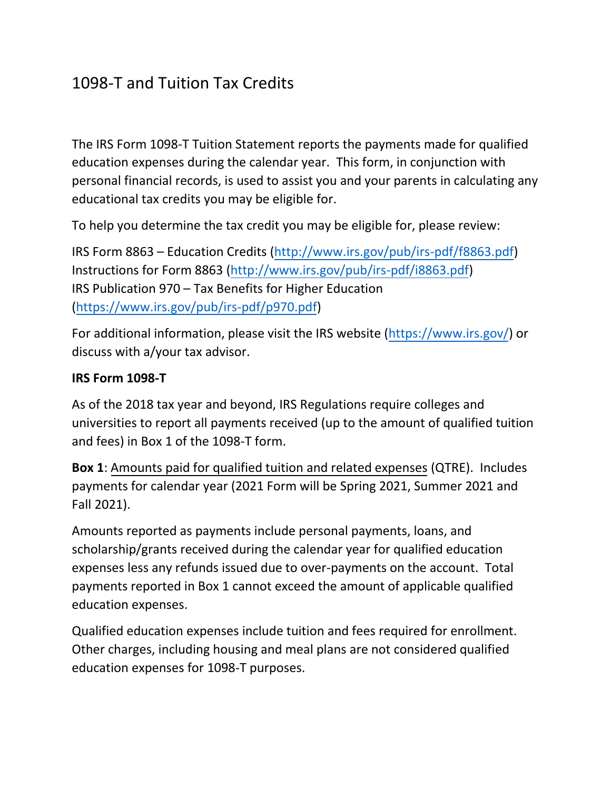# 1098-T and Tuition Tax Credits

The IRS Form 1098-T Tuition Statement reports the payments made for qualified education expenses during the calendar year. This form, in conjunction with personal financial records, is used to assist you and your parents in calculating any educational tax credits you may be eligible for.

To help you determine the tax credit you may be eligible for, please review:

IRS Form 8863 – Education Credits [\(http://www.irs.gov/pub/irs-pdf/f8863.pdf\)](http://www.irs.gov/pub/irs-pdf/f8863.pdf) Instructions for Form 8863 [\(http://www.irs.gov/pub/irs-pdf/i8863.pdf\)](http://www.irs.gov/pub/irs-pdf/i8863.pdf) IRS Publication 970 – Tax Benefits for Higher Education [\(https://www.irs.gov/pub/irs-pdf/p970.pdf\)](https://www.irs.gov/pub/irs-pdf/p970.pdf)

For additional information, please visit the IRS website [\(https://www.irs.gov/\)](https://www.irs.gov/) or discuss with a/your tax advisor.

## **IRS Form 1098-T**

As of the 2018 tax year and beyond, IRS Regulations require colleges and universities to report all payments received (up to the amount of qualified tuition and fees) in Box 1 of the 1098-T form.

**Box 1**: Amounts paid for qualified tuition and related expenses (QTRE). Includes payments for calendar year (2021 Form will be Spring 2021, Summer 2021 and Fall 2021).

Amounts reported as payments include personal payments, loans, and scholarship/grants received during the calendar year for qualified education expenses less any refunds issued due to over-payments on the account. Total payments reported in Box 1 cannot exceed the amount of applicable qualified education expenses.

Qualified education expenses include tuition and fees required for enrollment. Other charges, including housing and meal plans are not considered qualified education expenses for 1098-T purposes.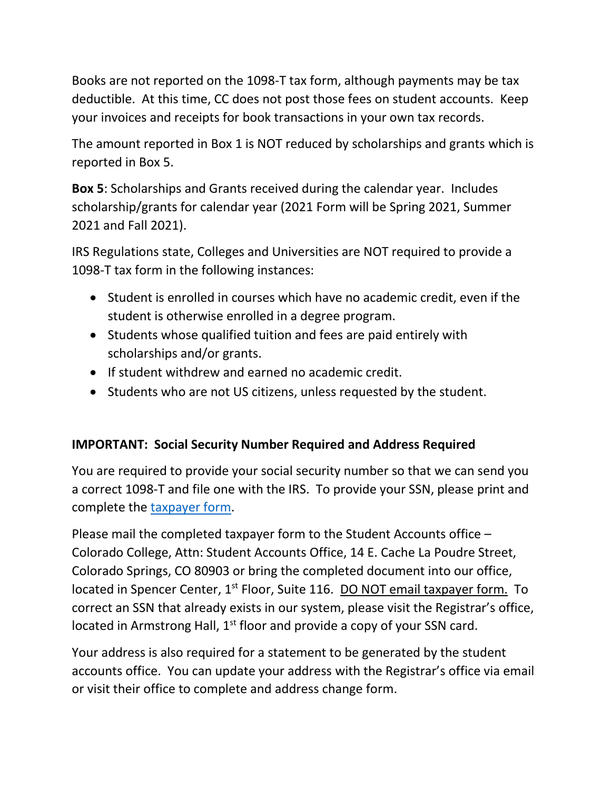Books are not reported on the 1098-T tax form, although payments may be tax deductible. At this time, CC does not post those fees on student accounts. Keep your invoices and receipts for book transactions in your own tax records.

The amount reported in Box 1 is NOT reduced by scholarships and grants which is reported in Box 5.

**Box 5**: Scholarships and Grants received during the calendar year. Includes scholarship/grants for calendar year (2021 Form will be Spring 2021, Summer 2021 and Fall 2021).

IRS Regulations state, Colleges and Universities are NOT required to provide a 1098-T tax form in the following instances:

- Student is enrolled in courses which have no academic credit, even if the student is otherwise enrolled in a degree program.
- Students whose qualified tuition and fees are paid entirely with scholarships and/or grants.
- If student withdrew and earned no academic credit.
- Students who are not US citizens, unless requested by the student.

## **IMPORTANT: Social Security Number Required and Address Required**

You are required to provide your social security number so that we can send you a correct 1098-T and file one with the IRS. To provide your SSN, please print and complete the [taxpayer form.](https://www.coloradocollege.edu/offices/studentaccounts/documents/TaxpayerForm.pdf)

Please mail the completed taxpayer form to the Student Accounts office – Colorado College, Attn: Student Accounts Office, 14 E. Cache La Poudre Street, Colorado Springs, CO 80903 or bring the completed document into our office, located in Spencer Center, 1<sup>st</sup> Floor, Suite 116. DO NOT email taxpayer form. To correct an SSN that already exists in our system, please visit the Registrar's office, located in Armstrong Hall, 1<sup>st</sup> floor and provide a copy of your SSN card.

Your address is also required for a statement to be generated by the student accounts office. You can update your address with the Registrar's office via email or visit their office to complete and address change form.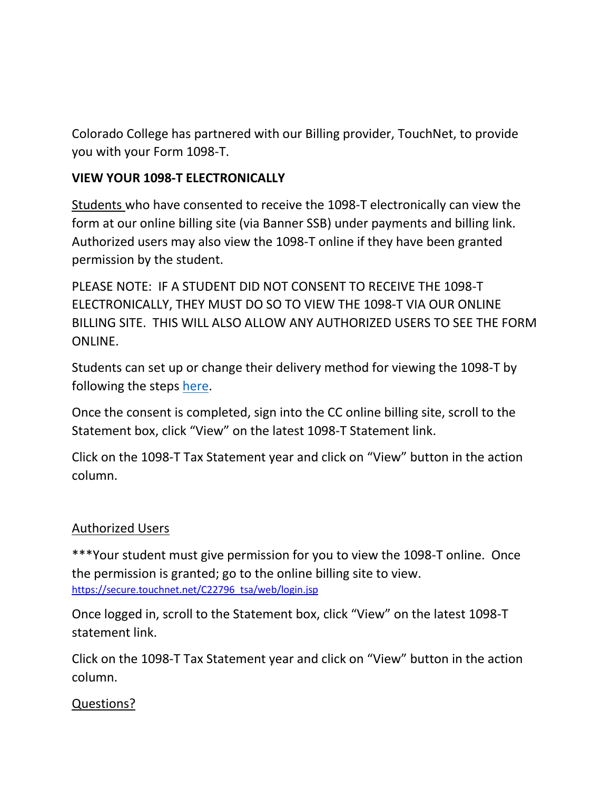Colorado College has partnered with our Billing provider, TouchNet, to provide you with your Form 1098-T.

## **VIEW YOUR 1098-T ELECTRONICALLY**

Students who have consented to receive the 1098-T electronically can view the form at our online billing site (via Banner SSB) under payments and billing link. Authorized users may also view the 1098-T online if they have been granted permission by the student.

PLEASE NOTE: IF A STUDENT DID NOT CONSENT TO RECEIVE THE 1098-T ELECTRONICALLY, THEY MUST DO SO TO VIEW THE 1098-T VIA OUR ONLINE BILLING SITE. THIS WILL ALSO ALLOW ANY AUTHORIZED USERS TO SEE THE FORM ONLINE.

Students can set up or change their delivery method for viewing the 1098-T by following the steps [here.](https://www.coloradocollege.edu/offices/studentaccounts/1098T+Student+Accounts+Web+Electronic+Process.pdf)

Once the consent is completed, sign into the CC online billing site, scroll to the Statement box, click "View" on the latest 1098-T Statement link.

Click on the 1098-T Tax Statement year and click on "View" button in the action column.

## Authorized Users

\*\*\*Your student must give permission for you to view the 1098-T online. Once the permission is granted; go to the online billing site to view. [https://secure.touchnet.net/C22796\\_tsa/web/login.jsp](https://secure.touchnet.net/C22796_tsa/web/login.jsp)

Once logged in, scroll to the Statement box, click "View" on the latest 1098-T statement link.

Click on the 1098-T Tax Statement year and click on "View" button in the action column.

## Questions?